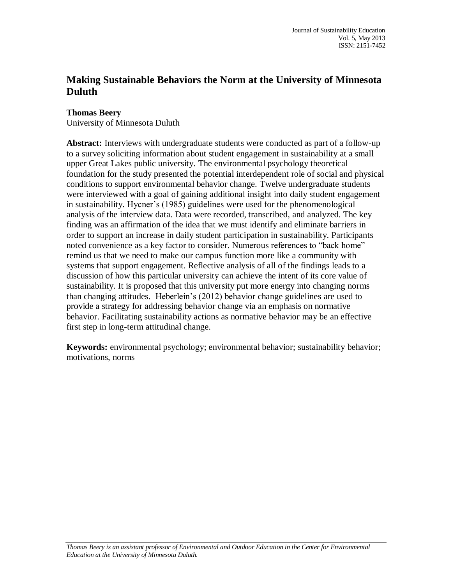# **Making Sustainable Behaviors the Norm at the University of Minnesota Duluth**

# **Thomas Beery**

University of Minnesota Duluth

**Abstract:** Interviews with undergraduate students were conducted as part of a follow-up to a survey soliciting information about student engagement in sustainability at a small upper Great Lakes public university. The environmental psychology theoretical foundation for the study presented the potential interdependent role of social and physical conditions to support environmental behavior change. Twelve undergraduate students were interviewed with a goal of gaining additional insight into daily student engagement in sustainability. Hycner's (1985) guidelines were used for the phenomenological analysis of the interview data. Data were recorded, transcribed, and analyzed. The key finding was an affirmation of the idea that we must identify and eliminate barriers in order to support an increase in daily student participation in sustainability. Participants noted convenience as a key factor to consider. Numerous references to "back home" remind us that we need to make our campus function more like a community with systems that support engagement. Reflective analysis of all of the findings leads to a discussion of how this particular university can achieve the intent of its core value of sustainability. It is proposed that this university put more energy into changing norms than changing attitudes. Heberlein's (2012) behavior change guidelines are used to provide a strategy for addressing behavior change via an emphasis on normative behavior. Facilitating sustainability actions as normative behavior may be an effective first step in long-term attitudinal change.

**Keywords:** environmental psychology; environmental behavior; sustainability behavior; motivations, norms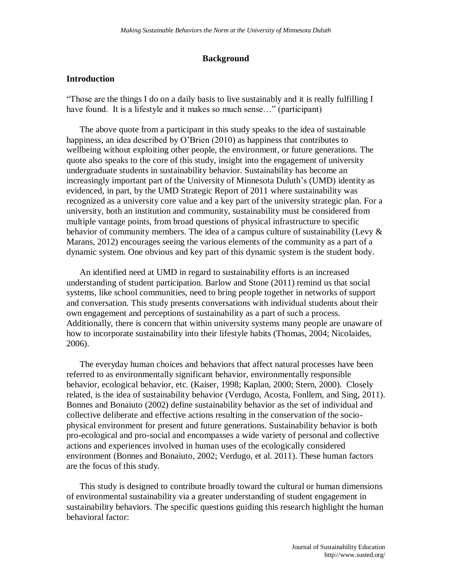# **Background**

## **Introduction**

"Those are the things I do on a daily basis to live sustainably and it is really fulfilling I have found. It is a lifestyle and it makes so much sense..." (participant)

The above quote from a participant in this study speaks to the idea of sustainable happiness, an idea described by O'Brien (2010) as happiness that contributes to wellbeing without exploiting other people, the environment, or future generations. The quote also speaks to the core of this study, insight into the engagement of university undergraduate students in sustainability behavior. Sustainability has become an increasingly important part of the University of Minnesota Duluth's (UMD) identity as evidenced, in part, by the UMD Strategic Report of 2011 where sustainability was recognized as a university core value and a key part of the university strategic plan. For a university, both an institution and community, sustainability must be considered from multiple vantage points, from broad questions of physical infrastructure to specific behavior of community members. The idea of a campus culture of sustainability (Levy & Marans, 2012) encourages seeing the various elements of the community as a part of a dynamic system. One obvious and key part of this dynamic system is the student body.

An identified need at UMD in regard to sustainability efforts is an increased understanding of student participation. Barlow and Stone (2011) remind us that social systems, like school communities, need to bring people together in networks of support and conversation. This study presents conversations with individual students about their own engagement and perceptions of sustainability as a part of such a process. Additionally, there is concern that within university systems many people are unaware of how to incorporate sustainability into their lifestyle habits (Thomas, 2004; Nicolaides, 2006).

The everyday human choices and behaviors that affect natural processes have been referred to as environmentally significant behavior, environmentally responsible behavior, ecological behavior, etc. (Kaiser, 1998; Kaplan, 2000; Stern, 2000). Closely related, is the idea of sustainability behavior (Verdugo, Acosta, Fonllem, and Sing, 2011). Bonnes and Bonaiuto (2002) define sustainability behavior as the set of individual and collective deliberate and effective actions resulting in the conservation of the sociophysical environment for present and future generations. Sustainability behavior is both pro-ecological and pro-social and encompasses a wide variety of personal and collective actions and experiences involved in human uses of the ecologically considered environment (Bonnes and Bonaiuto, 2002; Verdugo, et al. 2011). These human factors are the focus of this study.

This study is designed to contribute broadly toward the cultural or human dimensions of environmental sustainability via a greater understanding of student engagement in sustainability behaviors. The specific questions guiding this research highlight the human behavioral factor: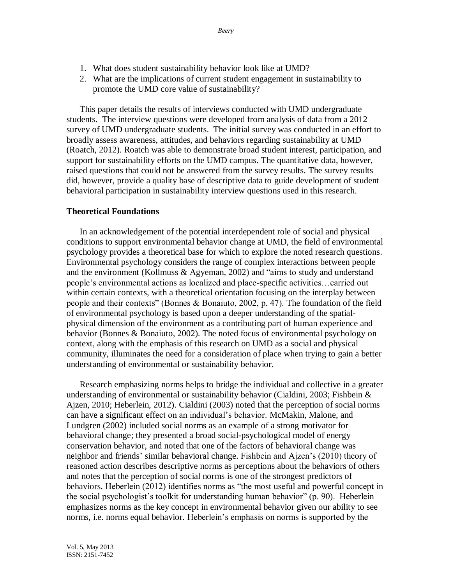- 1. What does student sustainability behavior look like at UMD?
- 2. What are the implications of current student engagement in sustainability to promote the UMD core value of sustainability?

This paper details the results of interviews conducted with UMD undergraduate students. The interview questions were developed from analysis of data from a 2012 survey of UMD undergraduate students. The initial survey was conducted in an effort to broadly assess awareness, attitudes, and behaviors regarding sustainability at UMD (Roatch, 2012). Roatch was able to demonstrate broad student interest, participation, and support for sustainability efforts on the UMD campus. The quantitative data, however, raised questions that could not be answered from the survey results. The survey results did, however, provide a quality base of descriptive data to guide development of student behavioral participation in sustainability interview questions used in this research.

#### **Theoretical Foundations**

In an acknowledgement of the potential interdependent role of social and physical conditions to support environmental behavior change at UMD, the field of environmental psychology provides a theoretical base for which to explore the noted research questions. Environmental psychology considers the range of complex interactions between people and the environment (Kollmuss & Agyeman, 2002) and "aims to study and understand people's environmental actions as localized and place-specific activities…carried out within certain contexts, with a theoretical orientation focusing on the interplay between people and their contexts" (Bonnes & Bonaiuto, 2002, p. 47). The foundation of the field of environmental psychology is based upon a deeper understanding of the spatialphysical dimension of the environment as a contributing part of human experience and behavior (Bonnes & Bonaiuto, 2002). The noted focus of environmental psychology on context, along with the emphasis of this research on UMD as a social and physical community, illuminates the need for a consideration of place when trying to gain a better understanding of environmental or sustainability behavior.

Research emphasizing norms helps to bridge the individual and collective in a greater understanding of environmental or sustainability behavior (Cialdini, 2003; Fishbein  $\&$ Ajzen, 2010; Heberlein, 2012). Cialdini (2003) noted that the perception of social norms can have a significant effect on an individual's behavior. McMakin, Malone, and Lundgren (2002) included social norms as an example of a strong motivator for behavioral change; they presented a broad social-psychological model of energy conservation behavior, and noted that one of the factors of behavioral change was neighbor and friends' similar behavioral change. Fishbein and Ajzen's (2010) theory of reasoned action describes descriptive norms as perceptions about the behaviors of others and notes that the perception of social norms is one of the strongest predictors of behaviors. Heberlein (2012) identifies norms as "the most useful and powerful concept in the social psychologist's toolkit for understanding human behavior" (p. 90). Heberlein emphasizes norms as the key concept in environmental behavior given our ability to see norms, i.e. norms equal behavior. Heberlein's emphasis on norms is supported by the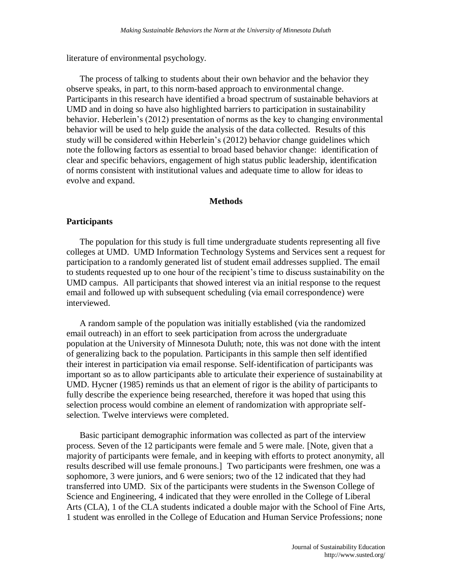literature of environmental psychology.

The process of talking to students about their own behavior and the behavior they observe speaks, in part, to this norm-based approach to environmental change. Participants in this research have identified a broad spectrum of sustainable behaviors at UMD and in doing so have also highlighted barriers to participation in sustainability behavior. Heberlein's (2012) presentation of norms as the key to changing environmental behavior will be used to help guide the analysis of the data collected. Results of this study will be considered within Heberlein's (2012) behavior change guidelines which note the following factors as essential to broad based behavior change: identification of clear and specific behaviors, engagement of high status public leadership, identification of norms consistent with institutional values and adequate time to allow for ideas to evolve and expand.

## **Methods**

# **Participants**

The population for this study is full time undergraduate students representing all five colleges at UMD. UMD Information Technology Systems and Services sent a request for participation to a randomly generated list of student email addresses supplied. The email to students requested up to one hour of the recipient's time to discuss sustainability on the UMD campus. All participants that showed interest via an initial response to the request email and followed up with subsequent scheduling (via email correspondence) were interviewed.

A random sample of the population was initially established (via the randomized email outreach) in an effort to seek participation from across the undergraduate population at the University of Minnesota Duluth; note, this was not done with the intent of generalizing back to the population. Participants in this sample then self identified their interest in participation via email response. Self-identification of participants was important so as to allow participants able to articulate their experience of sustainability at UMD. Hycner (1985) reminds us that an element of rigor is the ability of participants to fully describe the experience being researched, therefore it was hoped that using this selection process would combine an element of randomization with appropriate selfselection. Twelve interviews were completed.

Basic participant demographic information was collected as part of the interview process. Seven of the 12 participants were female and 5 were male. [Note, given that a majority of participants were female, and in keeping with efforts to protect anonymity, all results described will use female pronouns.] Two participants were freshmen, one was a sophomore, 3 were juniors, and 6 were seniors; two of the 12 indicated that they had transferred into UMD. Six of the participants were students in the Swenson College of Science and Engineering, 4 indicated that they were enrolled in the College of Liberal Arts (CLA), 1 of the CLA students indicated a double major with the School of Fine Arts, 1 student was enrolled in the College of Education and Human Service Professions; none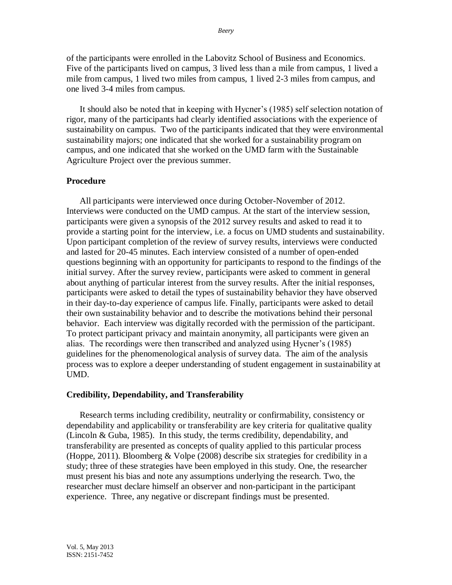of the participants were enrolled in the Labovitz School of Business and Economics. Five of the participants lived on campus, 3 lived less than a mile from campus, 1 lived a mile from campus, 1 lived two miles from campus, 1 lived 2-3 miles from campus, and one lived 3-4 miles from campus.

It should also be noted that in keeping with Hycner's (1985) self selection notation of rigor, many of the participants had clearly identified associations with the experience of sustainability on campus. Two of the participants indicated that they were environmental sustainability majors; one indicated that she worked for a sustainability program on campus, and one indicated that she worked on the UMD farm with the Sustainable Agriculture Project over the previous summer.

## **Procedure**

All participants were interviewed once during October-November of 2012. Interviews were conducted on the UMD campus. At the start of the interview session, participants were given a synopsis of the 2012 survey results and asked to read it to provide a starting point for the interview, i.e. a focus on UMD students and sustainability. Upon participant completion of the review of survey results, interviews were conducted and lasted for 20-45 minutes. Each interview consisted of a number of open-ended questions beginning with an opportunity for participants to respond to the findings of the initial survey. After the survey review, participants were asked to comment in general about anything of particular interest from the survey results. After the initial responses, participants were asked to detail the types of sustainability behavior they have observed in their day-to-day experience of campus life. Finally, participants were asked to detail their own sustainability behavior and to describe the motivations behind their personal behavior. Each interview was digitally recorded with the permission of the participant. To protect participant privacy and maintain anonymity, all participants were given an alias. The recordings were then transcribed and analyzed using Hycner's (1985) guidelines for the phenomenological analysis of survey data. The aim of the analysis process was to explore a deeper understanding of student engagement in sustainability at UMD.

## **Credibility, Dependability, and Transferability**

Research terms including credibility, neutrality or confirmability, consistency or dependability and applicability or transferability are key criteria for qualitative quality (Lincoln & Guba, 1985). In this study, the terms credibility, dependability, and transferability are presented as concepts of quality applied to this particular process (Hoppe, 2011). Bloomberg & Volpe (2008) describe six strategies for credibility in a study; three of these strategies have been employed in this study. One, the researcher must present his bias and note any assumptions underlying the research. Two, the researcher must declare himself an observer and non-participant in the participant experience. Three, any negative or discrepant findings must be presented.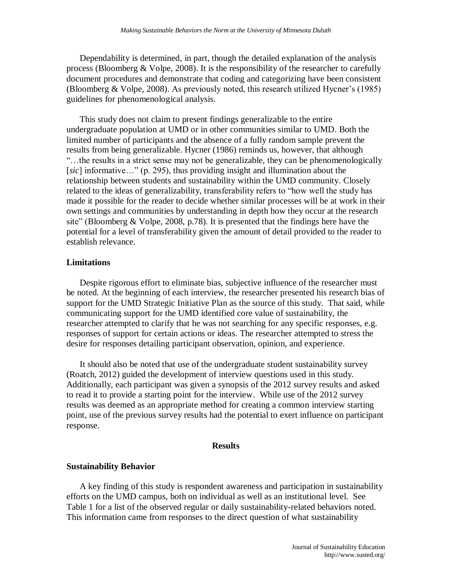Dependability is determined, in part, though the detailed explanation of the analysis process (Bloomberg & Volpe, 2008). It is the responsibility of the researcher to carefully document procedures and demonstrate that coding and categorizing have been consistent (Bloomberg & Volpe, 2008). As previously noted, this research utilized Hycner's (1985) guidelines for phenomenological analysis.

This study does not claim to present findings generalizable to the entire undergraduate population at UMD or in other communities similar to UMD. Both the limited number of participants and the absence of a fully random sample prevent the results from being generalizable. Hycner (1986) reminds us, however, that although "…the results in a strict sense may not be generalizable, they can be phenomenologically [*sic*] informative…" (p. 295), thus providing insight and illumination about the relationship between students and sustainability within the UMD community. Closely related to the ideas of generalizability, transferability refers to "how well the study has made it possible for the reader to decide whether similar processes will be at work in their own settings and communities by understanding in depth how they occur at the research site" (Bloomberg  $& \text{Volpe}, 2008, \text{p.78}$ ). It is presented that the findings here have the potential for a level of transferability given the amount of detail provided to the reader to establish relevance.

## **Limitations**

Despite rigorous effort to eliminate bias, subjective influence of the researcher must be noted. At the beginning of each interview, the researcher presented his research bias of support for the UMD Strategic Initiative Plan as the source of this study. That said, while communicating support for the UMD identified core value of sustainability, the researcher attempted to clarify that he was not searching for any specific responses, e.g. responses of support for certain actions or ideas. The researcher attempted to stress the desire for responses detailing participant observation, opinion, and experience.

It should also be noted that use of the undergraduate student sustainability survey (Roatch, 2012) guided the development of interview questions used in this study. Additionally, each participant was given a synopsis of the 2012 survey results and asked to read it to provide a starting point for the interview. While use of the 2012 survey results was deemed as an appropriate method for creating a common interview starting point, use of the previous survey results had the potential to exert influence on participant response.

#### **Results**

## **Sustainability Behavior**

A key finding of this study is respondent awareness and participation in sustainability efforts on the UMD campus, both on individual as well as an institutional level. See Table 1 for a list of the observed regular or daily sustainability-related behaviors noted. This information came from responses to the direct question of what sustainability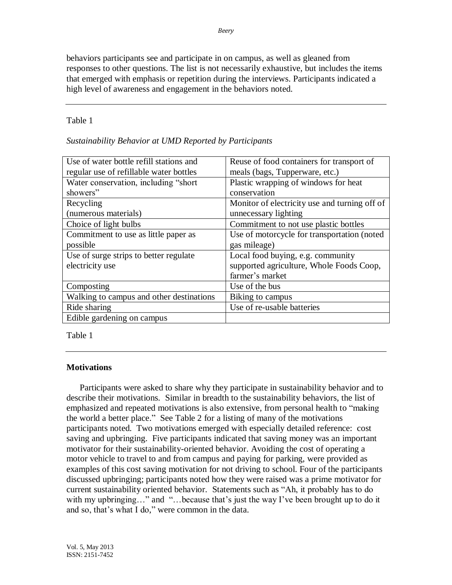*Beery*

behaviors participants see and participate in on campus, as well as gleaned from responses to other questions. The list is not necessarily exhaustive, but includes the items that emerged with emphasis or repetition during the interviews. Participants indicated a high level of awareness and engagement in the behaviors noted.

# Table 1

| Sustainability Behavior at UMD Reported by Participants |  |  |  |
|---------------------------------------------------------|--|--|--|
|                                                         |  |  |  |

| Use of water bottle refill stations and  | Reuse of food containers for transport of     |  |  |
|------------------------------------------|-----------------------------------------------|--|--|
| regular use of refillable water bottles  | meals (bags, Tupperware, etc.)                |  |  |
| Water conservation, including "short"    | Plastic wrapping of windows for heat          |  |  |
| showers"                                 | conservation                                  |  |  |
| Recycling                                | Monitor of electricity use and turning off of |  |  |
| (numerous materials)                     | unnecessary lighting                          |  |  |
| Choice of light bulbs                    | Commitment to not use plastic bottles         |  |  |
| Commitment to use as little paper as     | Use of motorcycle for transportation (noted)  |  |  |
| possible                                 | gas mileage)                                  |  |  |
| Use of surge strips to better regulate   | Local food buying, e.g. community             |  |  |
| electricity use                          | supported agriculture, Whole Foods Coop,      |  |  |
|                                          | farmer's market                               |  |  |
| Composting                               | Use of the bus                                |  |  |
| Walking to campus and other destinations | Biking to campus                              |  |  |
| Ride sharing                             | Use of re-usable batteries                    |  |  |
| Edible gardening on campus               |                                               |  |  |

Table 1

# **Motivations**

Participants were asked to share why they participate in sustainability behavior and to describe their motivations. Similar in breadth to the sustainability behaviors, the list of emphasized and repeated motivations is also extensive, from personal health to "making the world a better place." See Table 2 for a listing of many of the motivations participants noted. Two motivations emerged with especially detailed reference: cost saving and upbringing. Five participants indicated that saving money was an important motivator for their sustainability-oriented behavior. Avoiding the cost of operating a motor vehicle to travel to and from campus and paying for parking, were provided as examples of this cost saving motivation for not driving to school. Four of the participants discussed upbringing; participants noted how they were raised was a prime motivator for current sustainability oriented behavior. Statements such as "Ah, it probably has to do with my upbringing..." and "...because that's just the way I've been brought up to do it and so, that's what I do," were common in the data.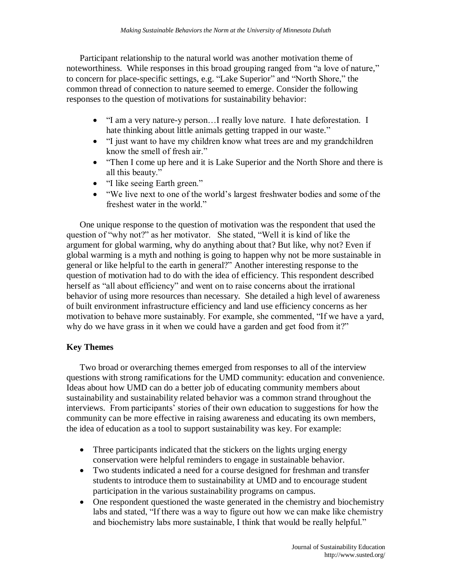Participant relationship to the natural world was another motivation theme of noteworthiness. While responses in this broad grouping ranged from "a love of nature," to concern for place-specific settings, e.g. "Lake Superior" and "North Shore," the common thread of connection to nature seemed to emerge. Consider the following responses to the question of motivations for sustainability behavior:

- "I am a very nature-y person...I really love nature. I hate deforestation. I hate thinking about little animals getting trapped in our waste."
- "I just want to have my children know what trees are and my grandchildren know the smell of fresh air."
- "Then I come up here and it is Lake Superior and the North Shore and there is all this beauty."
- "I like seeing Earth green."
- "We live next to one of the world's largest freshwater bodies and some of the freshest water in the world."

One unique response to the question of motivation was the respondent that used the question of "why not?" as her motivator. She stated, "Well it is kind of like the argument for global warming, why do anything about that? But like, why not? Even if global warming is a myth and nothing is going to happen why not be more sustainable in general or like helpful to the earth in general?" Another interesting response to the question of motivation had to do with the idea of efficiency. This respondent described herself as "all about efficiency" and went on to raise concerns about the irrational behavior of using more resources than necessary. She detailed a high level of awareness of built environment infrastructure efficiency and land use efficiency concerns as her motivation to behave more sustainably. For example, she commented, "If we have a yard, why do we have grass in it when we could have a garden and get food from it?"

# **Key Themes**

Two broad or overarching themes emerged from responses to all of the interview questions with strong ramifications for the UMD community: education and convenience. Ideas about how UMD can do a better job of educating community members about sustainability and sustainability related behavior was a common strand throughout the interviews. From participants' stories of their own education to suggestions for how the community can be more effective in raising awareness and educating its own members, the idea of education as a tool to support sustainability was key. For example:

- Three participants indicated that the stickers on the lights urging energy conservation were helpful reminders to engage in sustainable behavior.
- Two students indicated a need for a course designed for freshman and transfer students to introduce them to sustainability at UMD and to encourage student participation in the various sustainability programs on campus.
- One respondent questioned the waste generated in the chemistry and biochemistry labs and stated, "If there was a way to figure out how we can make like chemistry and biochemistry labs more sustainable, I think that would be really helpful."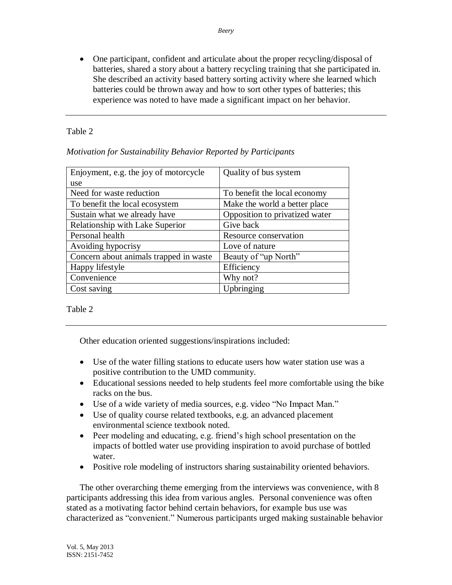One participant, confident and articulate about the proper recycling/disposal of batteries, shared a story about a battery recycling training that she participated in. She described an activity based battery sorting activity where she learned which batteries could be thrown away and how to sort other types of batteries; this experience was noted to have made a significant impact on her behavior.

# Table 2

|  |  | Motivation for Sustainability Behavior Reported by Participants |
|--|--|-----------------------------------------------------------------|
|  |  |                                                                 |

| Enjoyment, e.g. the joy of motorcycle  | Quality of bus system          |  |  |
|----------------------------------------|--------------------------------|--|--|
| use                                    |                                |  |  |
| Need for waste reduction               | To benefit the local economy   |  |  |
| To benefit the local ecosystem         | Make the world a better place  |  |  |
| Sustain what we already have           | Opposition to privatized water |  |  |
| Relationship with Lake Superior        | Give back                      |  |  |
| Personal health                        | Resource conservation          |  |  |
| Avoiding hypocrisy                     | Love of nature                 |  |  |
| Concern about animals trapped in waste | Beauty of "up North"           |  |  |
| Happy lifestyle                        | Efficiency                     |  |  |
| Convenience                            | Why not?                       |  |  |
| Cost saving                            | Upbringing                     |  |  |

Table 2

Other education oriented suggestions/inspirations included:

- Use of the water filling stations to educate users how water station use was a positive contribution to the UMD community.
- Educational sessions needed to help students feel more comfortable using the bike racks on the bus.
- Use of a wide variety of media sources, e.g. video "No Impact Man."
- Use of quality course related textbooks, e.g. an advanced placement environmental science textbook noted.
- Peer modeling and educating, e.g. friend's high school presentation on the impacts of bottled water use providing inspiration to avoid purchase of bottled water.
- Positive role modeling of instructors sharing sustainability oriented behaviors.

The other overarching theme emerging from the interviews was convenience, with 8 participants addressing this idea from various angles. Personal convenience was often stated as a motivating factor behind certain behaviors, for example bus use was characterized as "convenient." Numerous participants urged making sustainable behavior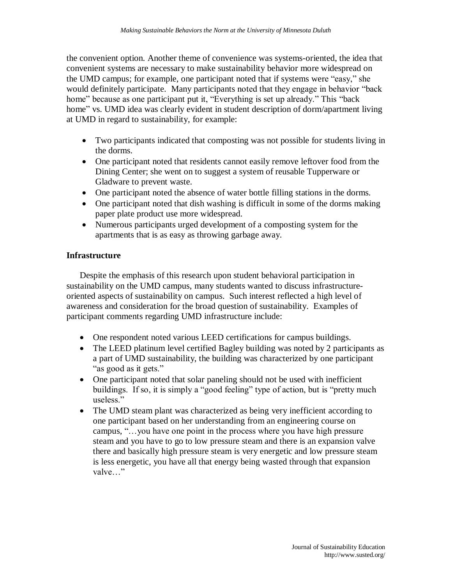the convenient option. Another theme of convenience was systems-oriented, the idea that convenient systems are necessary to make sustainability behavior more widespread on the UMD campus; for example, one participant noted that if systems were "easy," she would definitely participate. Many participants noted that they engage in behavior "back home" because as one participant put it, "Everything is set up already." This "back home" vs. UMD idea was clearly evident in student description of dorm/apartment living at UMD in regard to sustainability, for example:

- Two participants indicated that composting was not possible for students living in the dorms.
- One participant noted that residents cannot easily remove leftover food from the Dining Center; she went on to suggest a system of reusable Tupperware or Gladware to prevent waste.
- One participant noted the absence of water bottle filling stations in the dorms.
- One participant noted that dish washing is difficult in some of the dorms making paper plate product use more widespread.
- Numerous participants urged development of a composting system for the apartments that is as easy as throwing garbage away.

# **Infrastructure**

Despite the emphasis of this research upon student behavioral participation in sustainability on the UMD campus, many students wanted to discuss infrastructureoriented aspects of sustainability on campus. Such interest reflected a high level of awareness and consideration for the broad question of sustainability. Examples of participant comments regarding UMD infrastructure include:

- One respondent noted various LEED certifications for campus buildings.
- The LEED platinum level certified Bagley building was noted by 2 participants as a part of UMD sustainability, the building was characterized by one participant "as good as it gets."
- One participant noted that solar paneling should not be used with inefficient buildings. If so, it is simply a "good feeling" type of action, but is "pretty much useless."
- The UMD steam plant was characterized as being very inefficient according to one participant based on her understanding from an engineering course on campus, "…you have one point in the process where you have high pressure steam and you have to go to low pressure steam and there is an expansion valve there and basically high pressure steam is very energetic and low pressure steam is less energetic, you have all that energy being wasted through that expansion valve…"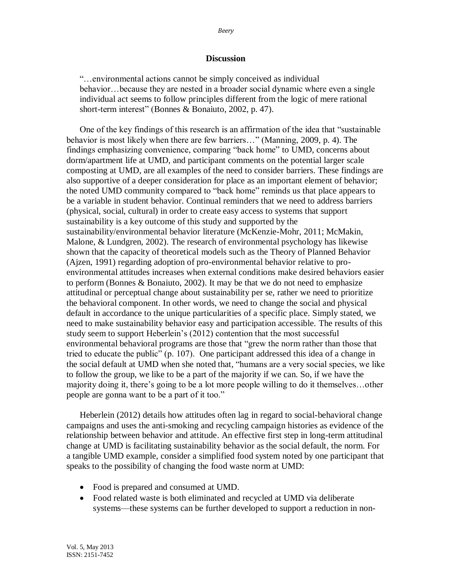### **Discussion**

"…environmental actions cannot be simply conceived as individual behavior…because they are nested in a broader social dynamic where even a single individual act seems to follow principles different from the logic of mere rational short-term interest" (Bonnes & Bonaiuto, 2002, p. 47).

One of the key findings of this research is an affirmation of the idea that "sustainable behavior is most likely when there are few barriers…" (Manning, 2009, p. 4). The findings emphasizing convenience, comparing "back home" to UMD, concerns about dorm/apartment life at UMD, and participant comments on the potential larger scale composting at UMD, are all examples of the need to consider barriers. These findings are also supportive of a deeper consideration for place as an important element of behavior; the noted UMD community compared to "back home" reminds us that place appears to be a variable in student behavior. Continual reminders that we need to address barriers (physical, social, cultural) in order to create easy access to systems that support sustainability is a key outcome of this study and supported by the sustainability/environmental behavior literature (McKenzie-Mohr, 2011; McMakin, Malone, & Lundgren, 2002). The research of environmental psychology has likewise shown that the capacity of theoretical models such as the Theory of Planned Behavior (Ajzen, 1991) regarding adoption of pro-environmental behavior relative to proenvironmental attitudes increases when external conditions make desired behaviors easier to perform (Bonnes & Bonaiuto, 2002). It may be that we do not need to emphasize attitudinal or perceptual change about sustainability per se, rather we need to prioritize the behavioral component. In other words, we need to change the social and physical default in accordance to the unique particularities of a specific place. Simply stated, we need to make sustainability behavior easy and participation accessible. The results of this study seem to support Heberlein's (2012) contention that the most successful environmental behavioral programs are those that "grew the norm rather than those that tried to educate the public" (p. 107). One participant addressed this idea of a change in the social default at UMD when she noted that, "humans are a very social species, we like to follow the group, we like to be a part of the majority if we can. So, if we have the majority doing it, there's going to be a lot more people willing to do it themselves…other people are gonna want to be a part of it too."

Heberlein (2012) details how attitudes often lag in regard to social-behavioral change campaigns and uses the anti-smoking and recycling campaign histories as evidence of the relationship between behavior and attitude. An effective first step in long-term attitudinal change at UMD is facilitating sustainability behavior as the social default, the norm. For a tangible UMD example, consider a simplified food system noted by one participant that speaks to the possibility of changing the food waste norm at UMD:

- Food is prepared and consumed at UMD.
- Food related waste is both eliminated and recycled at UMD via deliberate systems—these systems can be further developed to support a reduction in non-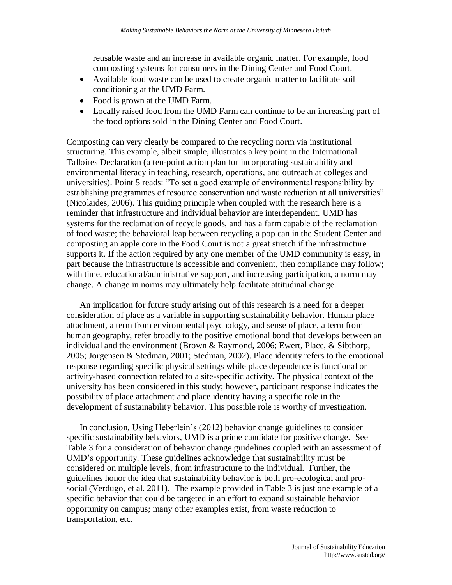reusable waste and an increase in available organic matter. For example, food composting systems for consumers in the Dining Center and Food Court.

- Available food waste can be used to create organic matter to facilitate soil conditioning at the UMD Farm.
- Food is grown at the UMD Farm.
- Locally raised food from the UMD Farm can continue to be an increasing part of the food options sold in the Dining Center and Food Court.

Composting can very clearly be compared to the recycling norm via institutional structuring. This example, albeit simple, illustrates a key point in the International Talloires Declaration (a ten-point action plan for incorporating sustainability and environmental literacy in teaching, research, operations, and outreach at colleges and universities). Point 5 reads: "To set a good example of environmental responsibility by establishing programmes of resource conservation and waste reduction at all universities" (Nicolaides, 2006). This guiding principle when coupled with the research here is a reminder that infrastructure and individual behavior are interdependent. UMD has systems for the reclamation of recycle goods, and has a farm capable of the reclamation of food waste; the behavioral leap between recycling a pop can in the Student Center and composting an apple core in the Food Court is not a great stretch if the infrastructure supports it. If the action required by any one member of the UMD community is easy, in part because the infrastructure is accessible and convenient, then compliance may follow; with time, educational/administrative support, and increasing participation, a norm may change. A change in norms may ultimately help facilitate attitudinal change.

An implication for future study arising out of this research is a need for a deeper consideration of place as a variable in supporting sustainability behavior. Human place attachment, a term from environmental psychology, and sense of place, a term from human geography, refer broadly to the positive emotional bond that develops between an individual and the environment (Brown & Raymond, 2006; Ewert, Place, & Sibthorp, 2005; Jorgensen & Stedman, 2001; Stedman, 2002). Place identity refers to the emotional response regarding specific physical settings while place dependence is functional or activity-based connection related to a site-specific activity. The physical context of the university has been considered in this study; however, participant response indicates the possibility of place attachment and place identity having a specific role in the development of sustainability behavior. This possible role is worthy of investigation.

In conclusion, Using Heberlein's (2012) behavior change guidelines to consider specific sustainability behaviors, UMD is a prime candidate for positive change. See Table 3 for a consideration of behavior change guidelines coupled with an assessment of UMD's opportunity. These guidelines acknowledge that sustainability must be considered on multiple levels, from infrastructure to the individual. Further, the guidelines honor the idea that sustainability behavior is both pro-ecological and prosocial (Verdugo, et al. 2011). The example provided in Table 3 is just one example of a specific behavior that could be targeted in an effort to expand sustainable behavior opportunity on campus; many other examples exist, from waste reduction to transportation, etc.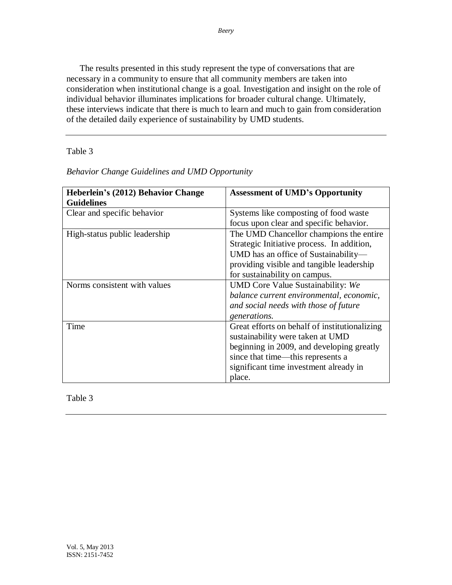The results presented in this study represent the type of conversations that are necessary in a community to ensure that all community members are taken into consideration when institutional change is a goal. Investigation and insight on the role of individual behavior illuminates implications for broader cultural change. Ultimately, these interviews indicate that there is much to learn and much to gain from consideration of the detailed daily experience of sustainability by UMD students.

Table 3

| Heberlein's (2012) Behavior Change | <b>Assessment of UMD's Opportunity</b>        |
|------------------------------------|-----------------------------------------------|
| <b>Guidelines</b>                  |                                               |
| Clear and specific behavior        | Systems like composting of food waste         |
|                                    | focus upon clear and specific behavior.       |
| High-status public leadership      | The UMD Chancellor champions the entire       |
|                                    | Strategic Initiative process. In addition,    |
|                                    | UMD has an office of Sustainability—          |
|                                    | providing visible and tangible leadership     |
|                                    | for sustainability on campus.                 |
| Norms consistent with values       | UMD Core Value Sustainability: We             |
|                                    | balance current environmental, economic,      |
|                                    | and social needs with those of future         |
|                                    | <i>generations.</i>                           |
| Time                               | Great efforts on behalf of institutionalizing |
|                                    | sustainability were taken at UMD              |
|                                    | beginning in 2009, and developing greatly     |
|                                    | since that time—this represents a             |
|                                    | significant time investment already in        |
|                                    | place.                                        |

*Behavior Change Guidelines and UMD Opportunity*

Table 3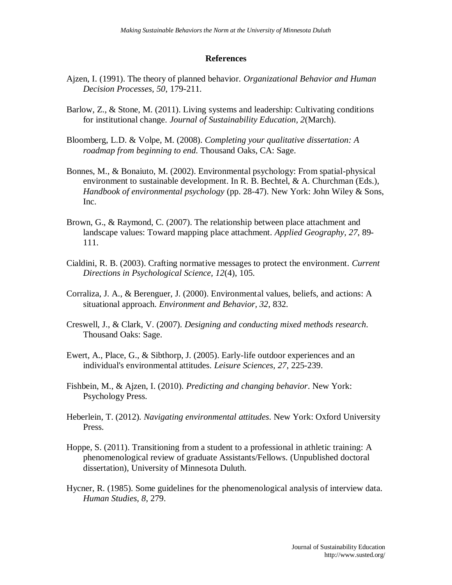## **References**

- Ajzen, I. (1991). The theory of planned behavior. *Organizational Behavior and Human Decision Processes, 50*, 179-211.
- Barlow, Z., & Stone, M. (2011). Living systems and leadership: Cultivating conditions for institutional change. *Journal of Sustainability Education, 2*(March).
- Bloomberg, L.D. & Volpe, M. (2008). *Completing your qualitative dissertation: A roadmap from beginning to end*. Thousand Oaks, CA: Sage.
- Bonnes, M., & Bonaiuto, M. (2002). Environmental psychology: From spatial-physical environment to sustainable development. In R. B. Bechtel, & A. Churchman (Eds.), *Handbook of environmental psychology* (pp. 28-47). New York: John Wiley & Sons, Inc.
- Brown, G., & Raymond, C. (2007). The relationship between place attachment and landscape values: Toward mapping place attachment. *Applied Geography, 27*, 89- 111.
- Cialdini, R. B. (2003). Crafting normative messages to protect the environment. *Current Directions in Psychological Science, 12*(4), 105.
- Corraliza, J. A., & Berenguer, J. (2000). Environmental values, beliefs, and actions: A situational approach. *Environment and Behavior, 32*, 832.
- Creswell, J., & Clark, V. (2007). *Designing and conducting mixed methods research*. Thousand Oaks: Sage.
- Ewert, A., Place, G., & Sibthorp, J. (2005). Early-life outdoor experiences and an individual's environmental attitudes. *Leisure Sciences, 27*, 225-239.
- Fishbein, M., & Ajzen, I. (2010). *Predicting and changing behavior*. New York: Psychology Press.
- Heberlein, T. (2012). *Navigating environmental attitudes*. New York: Oxford University Press.
- Hoppe, S. (2011). Transitioning from a student to a professional in athletic training: A phenomenological review of graduate Assistants/Fellows. (Unpublished doctoral dissertation), University of Minnesota Duluth.
- Hycner, R. (1985). Some guidelines for the phenomenological analysis of interview data. *Human Studies, 8*, 279.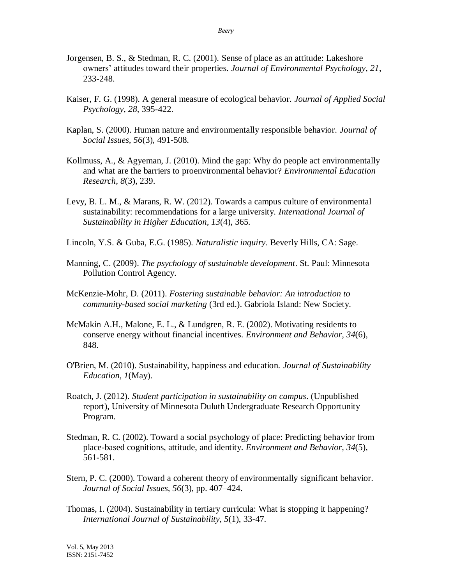- Jorgensen, B. S., & Stedman, R. C. (2001). Sense of place as an attitude: Lakeshore owners' attitudes toward their properties. *Journal of Environmental Psychology, 21*, 233-248.
- Kaiser, F. G. (1998). A general measure of ecological behavior. *Journal of Applied Social Psychology, 28*, 395-422.
- Kaplan, S. (2000). Human nature and environmentally responsible behavior. *Journal of Social Issues, 56*(3), 491-508.
- Kollmuss, A., & Agyeman, J. (2010). Mind the gap: Why do people act environmentally and what are the barriers to proenvironmental behavior? *Environmental Education Research, 8*(3), 239.
- Levy, B. L. M., & Marans, R. W. (2012). Towards a campus culture of environmental sustainability: recommendations for a large university. *International Journal of Sustainability in Higher Education, 13*(4), 365.
- Lincoln, Y.S. & Guba, E.G. (1985). *Naturalistic inquiry*. Beverly Hills, CA: Sage.
- Manning, C. (2009). *The psychology of sustainable development*. St. Paul: Minnesota Pollution Control Agency.
- McKenzie-Mohr, D. (2011). *Fostering sustainable behavior: An introduction to community-based social marketing* (3rd ed.). Gabriola Island: New Society.
- McMakin A.H., Malone, E. L., & Lundgren, R. E. (2002). Motivating residents to conserve energy without financial incentives. *Environment and Behavior, 34*(6), 848.
- O'Brien, M. (2010). Sustainability, happiness and education. *Journal of Sustainability Education, 1*(May).
- Roatch, J. (2012). *Student participation in sustainability on campus*. (Unpublished report), University of Minnesota Duluth Undergraduate Research Opportunity Program.
- Stedman, R. C. (2002). Toward a social psychology of place: Predicting behavior from place-based cognitions, attitude, and identity. *Environment and Behavior, 34*(5), 561-581.
- Stern, P. C. (2000). Toward a coherent theory of environmentally significant behavior. *Journal of Social Issues, 56*(3), pp. 407–424.
- Thomas, I. (2004). Sustainability in tertiary curricula: What is stopping it happening? *International Journal of Sustainability, 5*(1), 33-47.